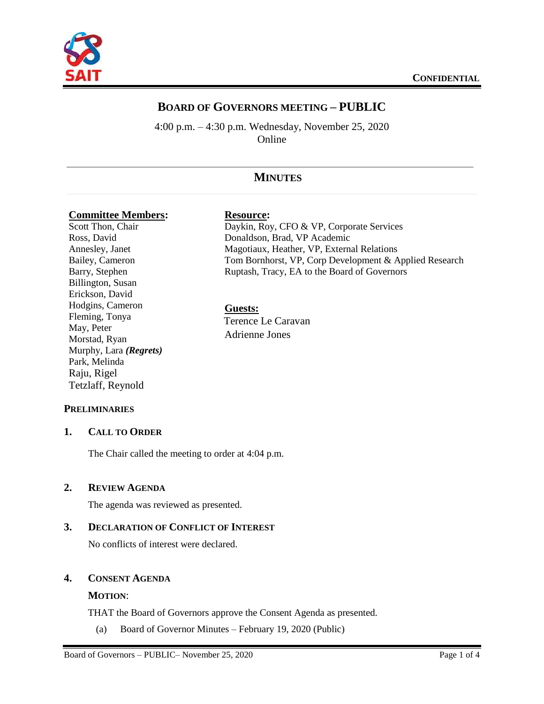

# **BOARD OF GOVERNORS MEETING – PUBLIC**

4:00 p.m. – 4:30 p.m. Wednesday, November 25, 2020 Online

# **MINUTES**

#### **Committee Members: Resource:**

Scott Thon, Chair Ross, David Annesley, Janet Bailey, Cameron Barry, Stephen Billington, Susan Erickson, David Hodgins, Cameron Fleming, Tonya May, Peter Morstad, Ryan Murphy, Lara *(Regrets)* Park, Melinda Raju, Rigel Tetzlaff, Reynold

Daykin, Roy, CFO & VP, Corporate Services Donaldson, Brad, VP Academic Magotiaux, Heather, VP, External Relations Tom Bornhorst, VP, Corp Development & Applied Research Ruptash, Tracy, EA to the Board of Governors

# **Guests:**

Terence Le Caravan Adrienne Jones

# **PRELIMINARIES**

# **1. CALL TO ORDER**

The Chair called the meeting to order at 4:04 p.m.

#### **2. REVIEW AGENDA**

The agenda was reviewed as presented.

# **3. DECLARATION OF CONFLICT OF INTEREST**

No conflicts of interest were declared.

### **4. CONSENT AGENDA**

#### **MOTION**:

THAT the Board of Governors approve the Consent Agenda as presented.

(a) Board of Governor Minutes – February 19, 2020 (Public)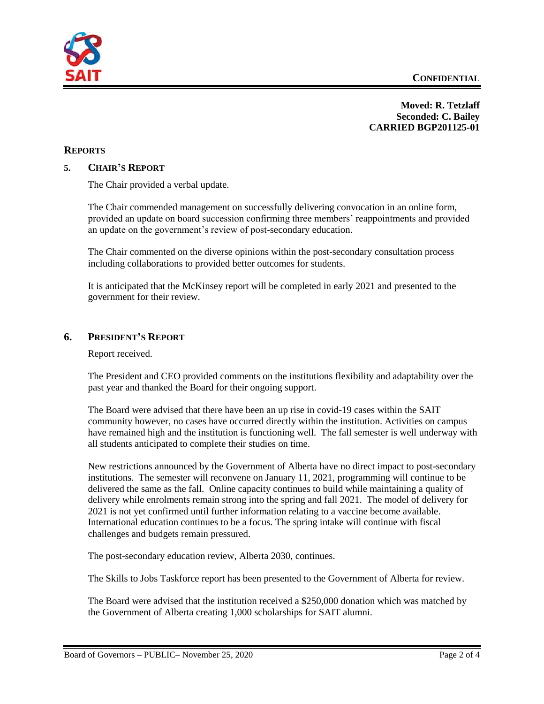

**Moved: R. Tetzlaff Seconded: C. Bailey CARRIED BGP201125-01**

# **REPORTS**

### **5. CHAIR'S REPORT**

The Chair provided a verbal update.

The Chair commended management on successfully delivering convocation in an online form, provided an update on board succession confirming three members' reappointments and provided an update on the government's review of post-secondary education.

The Chair commented on the diverse opinions within the post-secondary consultation process including collaborations to provided better outcomes for students.

It is anticipated that the McKinsey report will be completed in early 2021 and presented to the government for their review.

### **6. PRESIDENT'S REPORT**

Report received.

The President and CEO provided comments on the institutions flexibility and adaptability over the past year and thanked the Board for their ongoing support.

The Board were advised that there have been an up rise in covid-19 cases within the SAIT community however, no cases have occurred directly within the institution. Activities on campus have remained high and the institution is functioning well. The fall semester is well underway with all students anticipated to complete their studies on time.

New restrictions announced by the Government of Alberta have no direct impact to post-secondary institutions. The semester will reconvene on January 11, 2021, programming will continue to be delivered the same as the fall. Online capacity continues to build while maintaining a quality of delivery while enrolments remain strong into the spring and fall 2021. The model of delivery for 2021 is not yet confirmed until further information relating to a vaccine become available. International education continues to be a focus. The spring intake will continue with fiscal challenges and budgets remain pressured.

The post-secondary education review, Alberta 2030, continues.

The Skills to Jobs Taskforce report has been presented to the Government of Alberta for review.

The Board were advised that the institution received a \$250,000 donation which was matched by the Government of Alberta creating 1,000 scholarships for SAIT alumni.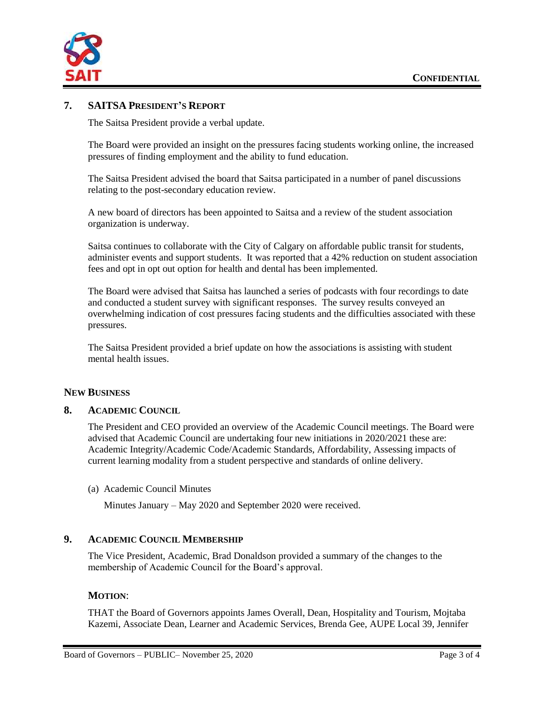

# **7. SAITSA PRESIDENT'S REPORT**

The Saitsa President provide a verbal update.

The Board were provided an insight on the pressures facing students working online, the increased pressures of finding employment and the ability to fund education.

The Saitsa President advised the board that Saitsa participated in a number of panel discussions relating to the post-secondary education review.

A new board of directors has been appointed to Saitsa and a review of the student association organization is underway.

Saitsa continues to collaborate with the City of Calgary on affordable public transit for students, administer events and support students. It was reported that a 42% reduction on student association fees and opt in opt out option for health and dental has been implemented.

The Board were advised that Saitsa has launched a series of podcasts with four recordings to date and conducted a student survey with significant responses. The survey results conveyed an overwhelming indication of cost pressures facing students and the difficulties associated with these pressures.

The Saitsa President provided a brief update on how the associations is assisting with student mental health issues.

#### **NEW BUSINESS**

### **8. ACADEMIC COUNCIL**

The President and CEO provided an overview of the Academic Council meetings. The Board were advised that Academic Council are undertaking four new initiations in 2020/2021 these are: Academic Integrity/Academic Code/Academic Standards, Affordability, Assessing impacts of current learning modality from a student perspective and standards of online delivery.

### (a) Academic Council Minutes

Minutes January – May 2020 and September 2020 were received.

#### **9. ACADEMIC COUNCIL MEMBERSHIP**

The Vice President, Academic, Brad Donaldson provided a summary of the changes to the membership of Academic Council for the Board's approval.

#### **MOTION**:

THAT the Board of Governors appoints James Overall, Dean, Hospitality and Tourism, Mojtaba Kazemi, Associate Dean, Learner and Academic Services, Brenda Gee, AUPE Local 39, Jennifer